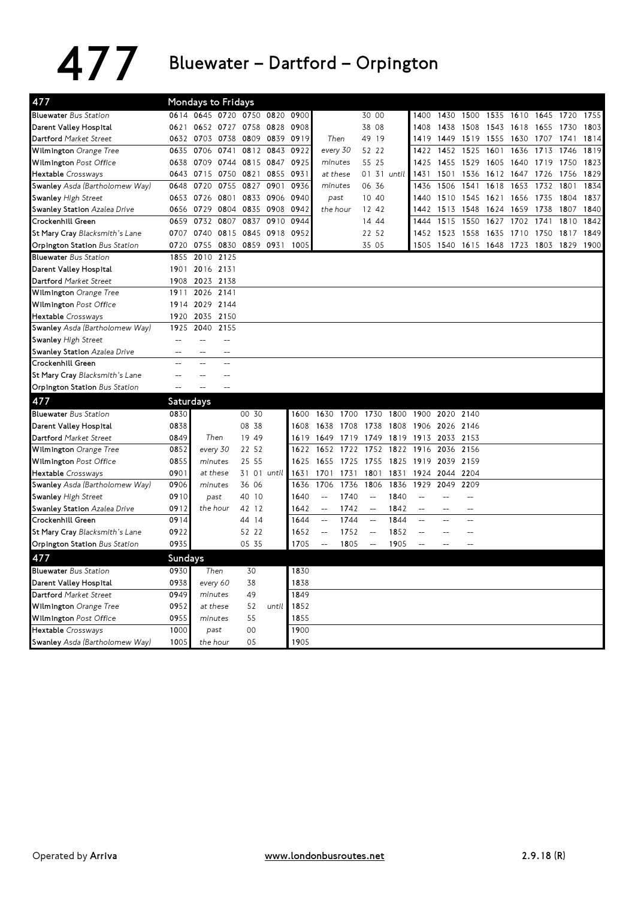## $477$  Bluewater – Dartford – Orpington

| 477                                 |                  | <b>Mondays to Fridays</b> |                |                     |                |           |                          |           |                            |             |                          |                          |                          |           |           |           |      |      |
|-------------------------------------|------------------|---------------------------|----------------|---------------------|----------------|-----------|--------------------------|-----------|----------------------------|-------------|--------------------------|--------------------------|--------------------------|-----------|-----------|-----------|------|------|
| <b>Bluewater</b> Bus Station        |                  | 0614 0645 0720            |                | 0750 0820           |                | 0900      |                          |           | 30 00                      |             | 1400                     | 1430                     | 1500                     | 1535      | 1610      | 1645      | 1720 | 1755 |
| Darent Valley Hospital              | 0621             |                           |                | 0652 0727 0758 0828 |                | 0908      |                          |           | 38 08                      |             | 1408                     | 1438                     | 1508                     | 1543 1618 |           | 1655      | 1730 | 1803 |
| Dartford Market Street              |                  | 0632 0703 0738            |                |                     | 0809 0839 0919 |           | Then                     |           | 49 19                      |             | 1419                     | 1449                     | 1519 1555                |           | 1630      | 1707 1741 |      | 1814 |
| Wilmington Orange Tree              | 0635             | 0706                      | 0741           | 0812                | 0843           | 0922      | every 30                 |           | 52 22                      |             | 1422                     | 1452                     | 1525                     | 1601      | 1636      | 1713      | 1746 | 1819 |
| Wilmington Post Office              |                  | 0638 0709                 | 0744           |                     | 0815 0847      | 0925      | minutes                  |           | 55 25                      |             | 1425                     | 1455                     | 1529                     | 1605      | 1640      | 1719      | 1750 | 1823 |
| Hextable Crossways                  | 0643             | 0715                      | 0750           | 0821                | 0855           | 0931      | at these                 |           |                            | 01 31 until | 1431                     | 1501                     | 1536                     | 1612      | 1647      | 1726      | 1756 | 1829 |
| Swanley Asda (Bartholomew Way)      | 0648             | 0720                      | 0755           | 0827                | 0901           | 0936      | minutes                  |           | 06 36                      |             | 1436                     | 1506                     | 1541                     | 1618      | 1653      | 1732      | 1801 | 1834 |
| Swanley High Street                 |                  | 0653 0726                 | 0801           | 0833                | 0906 0940      |           | past                     |           | 10 40                      |             | 1440                     | 1510                     | 1545                     | 1621      | 1656      | 1735      | 1804 | 1837 |
| Swanley Station Azalea Drive        | 0656             | 0729                      | 0804           | 0835                | 0908           | 0942      | the hour                 |           | 12 42                      |             | 1442                     | 1513                     | 1548                     | 1624      | 1659      | 1738      | 1807 | 1840 |
| Crockenhill Green                   | 0659             | 0732                      | 0807           | 0837                | 0910           | 0944      |                          |           | 14 44                      |             | 1444                     | 1515                     | 1550                     | 1627      | 1702      | 1741      | 1810 | 1842 |
| St Mary Cray Blacksmith's Lane      |                  | 0707 0740                 | 0815           | 0845                |                | 0918 0952 |                          |           | 22 52                      |             | 1452                     | 1523                     | 1558                     | 1635      | 1710      | 1750      | 1817 | 1849 |
| Orpington Station Bus Station       | 0720             | 0755                      | 0830           |                     | 0859 0931      | 1005      |                          |           | 35 05                      |             |                          | 1505 1540                | 1615 1648                |           | 1723 1803 |           | 1829 | 1900 |
| <b>Bluewater</b> Bus Station        | 1855             | 2010                      | 2125           |                     |                |           |                          |           |                            |             |                          |                          |                          |           |           |           |      |      |
| Darent Valley Hospital              | 1901             | 2016 2131                 |                |                     |                |           |                          |           |                            |             |                          |                          |                          |           |           |           |      |      |
| Dartford Market Street              | 1908             | 2023 2138                 |                |                     |                |           |                          |           |                            |             |                          |                          |                          |           |           |           |      |      |
| Wilmington Orange Tree              | 1911             | 2026 2141                 |                |                     |                |           |                          |           |                            |             |                          |                          |                          |           |           |           |      |      |
| Wilmington Post Office              | 1914             | 2029 2144                 |                |                     |                |           |                          |           |                            |             |                          |                          |                          |           |           |           |      |      |
| Hextable Crossways                  | 1920             | 2035                      | 2150           |                     |                |           |                          |           |                            |             |                          |                          |                          |           |           |           |      |      |
| Swanley Asda (Bartholomew Way)      | 1925             | 2040                      | 2155           |                     |                |           |                          |           |                            |             |                          |                          |                          |           |           |           |      |      |
| <b>Swanley High Street</b>          | $-$              | $\overline{a}$            | $\overline{a}$ |                     |                |           |                          |           |                            |             |                          |                          |                          |           |           |           |      |      |
| <b>Swanley Station Azalea Drive</b> | $-$              | $-$                       | $-$            |                     |                |           |                          |           |                            |             |                          |                          |                          |           |           |           |      |      |
| Crockenhill Green                   | $\overline{a}$   | $\equiv$                  | $\sim$         |                     |                |           |                          |           |                            |             |                          |                          |                          |           |           |           |      |      |
| St Mary Cray Blacksmith's Lane      |                  |                           |                |                     |                |           |                          |           |                            |             |                          |                          |                          |           |           |           |      |      |
| Orpington Station Bus Station       | $\overline{a}$   |                           |                |                     |                |           |                          |           |                            |             |                          |                          |                          |           |           |           |      |      |
| 477                                 | <b>Saturdays</b> |                           |                |                     |                |           |                          |           |                            |             |                          |                          |                          |           |           |           |      |      |
| <b>Bluewater</b> Bus Station        | 0830             |                           |                | 00 30               |                | 1600      | 1630                     | 1700 1730 |                            | 1800        | 1900 2020 2140           |                          |                          |           |           |           |      |      |
| Darent Valley Hospital              | 0838             |                           |                | 08 38               |                | 1608      | 1638                     | 1708      | 1738                       | 1808        | 1906 2026                |                          | 2146                     |           |           |           |      |      |
| Dartford Market Street              | 0849             | Then                      |                | 19 49               |                | 1619      | 1649                     | 1719 1749 |                            |             | 1819 1913 2033 2153      |                          |                          |           |           |           |      |      |
| Wilmington Orange Tree              | 0852             | every 30                  |                | 22 52               |                | 1622      | 1652                     | 1722      | 1752                       | 1822        | 1916                     | 2036                     | 2156                     |           |           |           |      |      |
| Wilmington Post Office              | 0855             | minutes                   |                | 25 55               |                | 1625      | 1655                     | 1725 1755 |                            | 1825        | 1919                     | 2039                     | 2159                     |           |           |           |      |      |
| Hextable Crossways                  | 0901             | at these                  |                | 31 01 until         |                | 1631      | 1701                     | 1731      | 1801                       | 1831        | 1924                     | 2044                     | 2204                     |           |           |           |      |      |
| Swanley Asda (Bartholomew Way)      | 0906             | minutes                   |                | 36 06               |                | 1636      | 1706                     | 1736      | 1806                       | 1836        | 1929                     | 2049                     | 2209                     |           |           |           |      |      |
| <b>Swanley High Street</b>          | 0910             | past                      |                | 40 10               |                | 1640      | $\overline{a}$           | 1740      | $\overline{\phantom{a}}$   | 1840        | Ц.                       | $\overline{a}$           | $\overline{\phantom{a}}$ |           |           |           |      |      |
| Swanley Station Azalea Drive        | 0912             | the hour                  |                | 42 12               |                | 1642      | $\overline{a}$           | 1742      | $\mathcal{L}_{\text{max}}$ | 1842        | $\overline{a}$           | $\overline{a}$           | $\sim$                   |           |           |           |      |      |
| Crockenhill Green                   | 0914             |                           |                | 44 14               |                | 1644      | <u></u>                  | 1744      | $\overline{\phantom{m}}$   | 1844        | $\overline{a}$           | $\overline{\phantom{a}}$ | $-$                      |           |           |           |      |      |
| St Mary Cray Blacksmith's Lane      | 0922             |                           |                | 52 22               |                | 1652      | $\overline{\phantom{a}}$ | 1752      | u.                         | 1852        | $\overline{\phantom{a}}$ | $\overline{a}$           | $\overline{a}$           |           |           |           |      |      |
| Orpington Station Bus Station       | 0935             |                           |                | 05 35               |                | 1705      | $\overline{\phantom{a}}$ | 1805      | $ \!-$                     | 1905        | Ξ.                       |                          |                          |           |           |           |      |      |
| 477                                 | Sundays          |                           |                |                     |                |           |                          |           |                            |             |                          |                          |                          |           |           |           |      |      |
| <b>Bluewater</b> Bus Station        | 0930             | Then                      |                | 30                  |                | 1830      |                          |           |                            |             |                          |                          |                          |           |           |           |      |      |
| Darent Valley Hospital              | 0938             | every 60                  |                | 38                  |                | 1838      |                          |           |                            |             |                          |                          |                          |           |           |           |      |      |
| Dartford Market Street              | 0949             | minutes                   |                | 49                  |                | 1849      |                          |           |                            |             |                          |                          |                          |           |           |           |      |      |
| Wilmington Orange Tree              | 0952             | at these                  |                | 52                  | until          | 1852      |                          |           |                            |             |                          |                          |                          |           |           |           |      |      |
| Wilmington Post Office              | 0955             | minutes                   |                | 55                  |                | 1855      |                          |           |                            |             |                          |                          |                          |           |           |           |      |      |
| Hextable Crossways                  | 1000             | past                      |                | 00                  |                | 1900      |                          |           |                            |             |                          |                          |                          |           |           |           |      |      |
| Swanley Asda (Bartholomew Way)      | 1005             | the hour                  |                | 05                  |                | 1905      |                          |           |                            |             |                          |                          |                          |           |           |           |      |      |